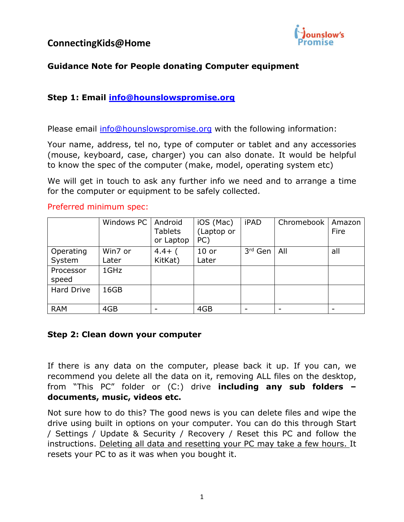

## **Guidance Note for People donating Computer equipment**

### **Step 1: Email [info@hounslowspromise.org](mailto:info@hounslowspromise.org)**

Please email [info@hounslowspromise.org](mailto:info@hounslowspromise.org) with the following information:

Your name, address, tel no, type of computer or tablet and any accessories (mouse, keyboard, case, charger) you can also donate. It would be helpful to know the spec of the computer (make, model, operating system etc)

We will get in touch to ask any further info we need and to arrange a time for the computer or equipment to be safely collected.

#### Preferred minimum spec:

|                     | Windows PC       | Android<br><b>Tablets</b><br>or Laptop | iOS (Mac)<br>(Laptop or<br>PC) | <b>iPAD</b>         | Chromebook | Amazon<br>Fire |
|---------------------|------------------|----------------------------------------|--------------------------------|---------------------|------------|----------------|
| Operating<br>System | Win7 or<br>Later | $4.4+$<br>KitKat)                      | $10$ or<br>Later               | 3 <sup>rd</sup> Gen | All        | all            |
| Processor<br>speed  | 1GHz             |                                        |                                |                     |            |                |
| <b>Hard Drive</b>   | 16GB             |                                        |                                |                     |            |                |
| <b>RAM</b>          | 4GB              |                                        | 4GB                            |                     |            |                |

### **Step 2: Clean down your computer**

If there is any data on the computer, please back it up. If you can, we recommend you delete all the data on it, removing ALL files on the desktop, from "This PC" folder or (C:) drive **including any sub folders – documents, music, videos etc.**

Not sure how to do this? The good news is you can delete files and wipe the drive using built in options on your computer. You can do this through Start / Settings / Update & Security / Recovery / Reset this PC and follow the instructions. Deleting all data and resetting your PC may take a few hours. It resets your PC to as it was when you bought it.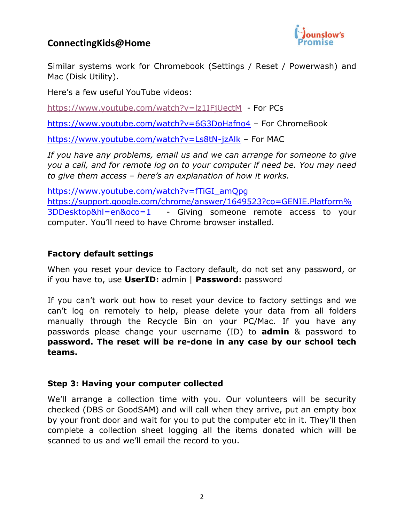## **ConnectingKids@Home**



Similar systems work for Chromebook (Settings / Reset / Powerwash) and Mac (Disk Utility).

Here's a few useful YouTube videos:

<https://www.youtube.com/watch?v=lz1IFjUectM>- For PCs

<https://www.youtube.com/watch?v=6G3DoHafno4> – For ChromeBook

<https://www.youtube.com/watch?v=Ls8tN-jzAlk> – For MAC

*If you have any problems, email us and we can arrange for someone to give you a call, and for remote log on to your computer if need be. You may need to give them access – here's an explanation of how it works.* 

[https://www.youtube.com/watch?v=fTiGI\\_amQpg](https://www.youtube.com/watch?v=fTiGI_amQpg) [https://support.google.com/chrome/answer/1649523?co=GENIE.Platform%](https://support.google.com/chrome/answer/1649523?co=GENIE.Platform%3DDesktop&hl=en&oco=1) [3DDesktop&hl=en&oco=1](https://support.google.com/chrome/answer/1649523?co=GENIE.Platform%3DDesktop&hl=en&oco=1) - Giving someone remote access to your computer. You'll need to have Chrome browser installed.

### **Factory default settings**

When you reset your device to Factory default, do not set any password, or if you have to, use **UserID:** admin | **Password:** password

If you can't work out how to reset your device to factory settings and we can't log on remotely to help, please delete your data from all folders manually through the Recycle Bin on your PC/Mac. If you have any passwords please change your username (ID) to **admin** & password to **password. The reset will be re-done in any case by our school tech teams.**

### **Step 3: Having your computer collected**

We'll arrange a collection time with you. Our volunteers will be security checked (DBS or GoodSAM) and will call when they arrive, put an empty box by your front door and wait for you to put the computer etc in it. They'll then complete a collection sheet logging all the items donated which will be scanned to us and we'll email the record to you.